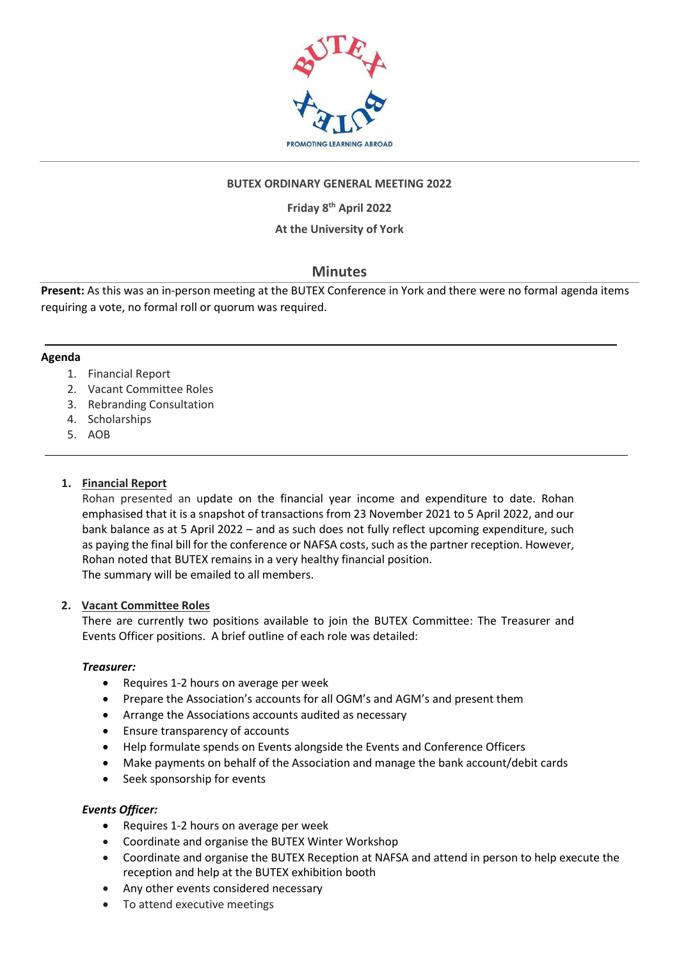

## **BUTEX ORDINARY GENERAL MEETING 2022**

**Friday 8 th April 2022**

## **At the University of York**

# **Minutes**

**Present:** As this was an in-person meeting at the BUTEX Conference in York and there were no formal agenda items requiring a vote, no formal roll or quorum was required.

#### **Agenda**

- 1. Financial Report
- 2. Vacant Committee Roles
- 3. Rebranding Consultation
- 4. Scholarships
- 5. AOB

## **1. Financial Report**

Rohan presented an update on the financial year income and expenditure to date. Rohan emphasised that it is a snapshot of transactions from 23 November 2021 to 5 April 2022, and our bank balance as at 5 April 2022 – and as such does not fully reflect upcoming expenditure, such as paying the final bill for the conference or NAFSA costs, such as the partner reception. However, Rohan noted that BUTEX remains in a very healthy financial position. The summary will be emailed to all members.

## **2. Vacant Committee Roles**

There are currently two positions available to join the BUTEX Committee: The Treasurer and Events Officer positions. A brief outline of each role was detailed:

## *Treasurer:*

- Requires 1-2 hours on average per week
- Prepare the Association's accounts for all OGM's and AGM's and present them
- Arrange the Associations accounts audited as necessary
- Ensure transparency of accounts
- Help formulate spends on Events alongside the Events and Conference Officers
- Make payments on behalf of the Association and manage the bank account/debit cards
- Seek sponsorship for events

## *Events Officer:*

- Requires 1-2 hours on average per week
- Coordinate and organise the BUTEX Winter Workshop
- Coordinate and organise the BUTEX Reception at NAFSA and attend in person to help execute the reception and help at the BUTEX exhibition booth
- Any other events considered necessary
- To attend executive meetings